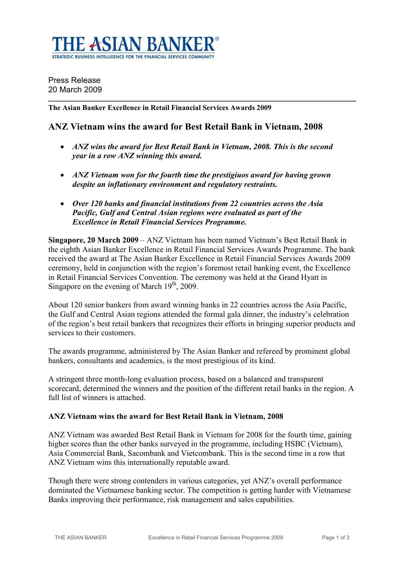

Press Release 20 March 2009

The Asian Banker Excellence in Retail Financial Services Awards 2009

# ANZ Vietnam wins the award for Best Retail Bank in Vietnam, 2008

- ANZ wins the award for Best Retail Bank in Vietnam, 2008. This is the second year in a row ANZ winning this award.
- ANZ Vietnam won for the fourth time the prestigiuos award for having grown despite an inflationary environment and regulatory restraints.
- Over 120 banks and financial institutions from 22 countries across the Asia Pacific, Gulf and Central Asian regions were evaluated as part of the Excellence in Retail Financial Services Programme.

Singapore, 20 March 2009 – ANZ Vietnam has been named Vietnam's Best Retail Bank in the eighth Asian Banker Excellence in Retail Financial Services Awards Programme. The bank received the award at The Asian Banker Excellence in Retail Financial Services Awards 2009 ceremony, held in conjunction with the region's foremost retail banking event, the Excellence in Retail Financial Services Convention. The ceremony was held at the Grand Hyatt in Singapore on the evening of March  $19<sup>th</sup>$ , 2009.

About 120 senior bankers from award winning banks in 22 countries across the Asia Pacific, the Gulf and Central Asian regions attended the formal gala dinner, the industry's celebration of the region's best retail bankers that recognizes their efforts in bringing superior products and services to their customers.

The awards programme, administered by The Asian Banker and refereed by prominent global bankers, consultants and academics, is the most prestigious of its kind.

A stringent three month-long evaluation process, based on a balanced and transparent scorecard, determined the winners and the position of the different retail banks in the region. A full list of winners is attached.

### ANZ Vietnam wins the award for Best Retail Bank in Vietnam, 2008

ANZ Vietnam was awarded Best Retail Bank in Vietnam for 2008 for the fourth time, gaining higher scores than the other banks surveyed in the programme, including HSBC (Vietnam), Asia Commercial Bank, Sacombank and Vietcombank. This is the second time in a row that ANZ Vietnam wins this internationally reputable award.

Though there were strong contenders in various categories, yet ANZ's overall performance dominated the Vietnamese banking sector. The competition is getting harder with Vietnamese Banks improving their performance, risk management and sales capabilities.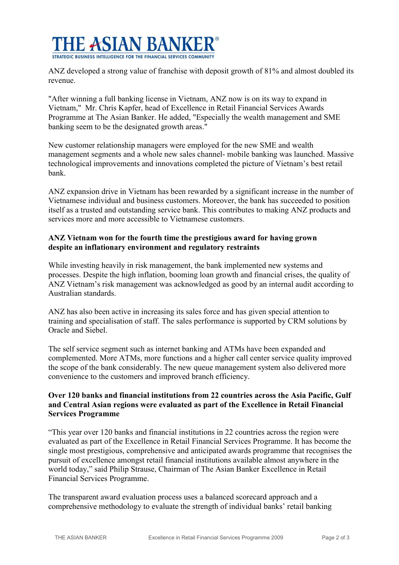

ANZ developed a strong value of franchise with deposit growth of 81% and almost doubled its revenue.

"After winning a full banking license in Vietnam, ANZ now is on its way to expand in Vietnam," Mr. Chris Kapfer, head of Excellence in Retail Financial Services Awards Programme at The Asian Banker. He added, "Especially the wealth management and SME banking seem to be the designated growth areas."

New customer relationship managers were employed for the new SME and wealth management segments and a whole new sales channel- mobile banking was launched. Massive technological improvements and innovations completed the picture of Vietnam's best retail bank.

ANZ expansion drive in Vietnam has been rewarded by a significant increase in the number of Vietnamese individual and business customers. Moreover, the bank has succeeded to position itself as a trusted and outstanding service bank. This contributes to making ANZ products and services more and more accessible to Vietnamese customers.

## ANZ Vietnam won for the fourth time the prestigious award for having grown despite an inflationary environment and regulatory restraints

While investing heavily in risk management, the bank implemented new systems and processes. Despite the high inflation, booming loan growth and financial crises, the quality of ANZ Vietnam's risk management was acknowledged as good by an internal audit according to Australian standards.

ANZ has also been active in increasing its sales force and has given special attention to training and specialisation of staff. The sales performance is supported by CRM solutions by Oracle and Siebel.

The self service segment such as internet banking and ATMs have been expanded and complemented. More ATMs, more functions and a higher call center service quality improved the scope of the bank considerably. The new queue management system also delivered more convenience to the customers and improved branch efficiency.

## Over 120 banks and financial institutions from 22 countries across the Asia Pacific, Gulf and Central Asian regions were evaluated as part of the Excellence in Retail Financial Services Programme

"This year over 120 banks and financial institutions in 22 countries across the region were evaluated as part of the Excellence in Retail Financial Services Programme. It has become the single most prestigious, comprehensive and anticipated awards programme that recognises the pursuit of excellence amongst retail financial institutions available almost anywhere in the world today," said Philip Strause, Chairman of The Asian Banker Excellence in Retail Financial Services Programme.

The transparent award evaluation process uses a balanced scorecard approach and a comprehensive methodology to evaluate the strength of individual banks' retail banking